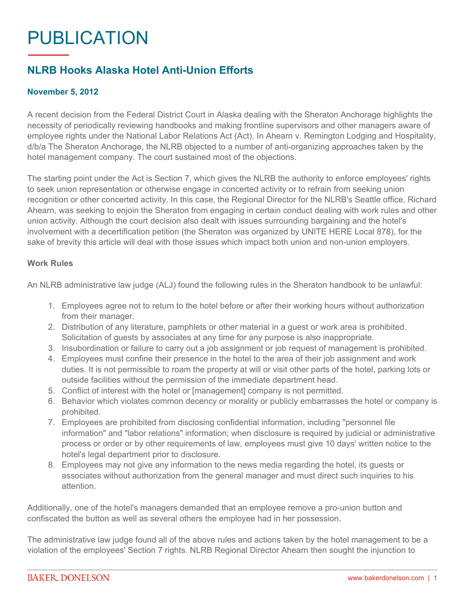# PUBLICATION

## **NLRB Hooks Alaska Hotel Anti-Union Efforts**

### **November 5, 2012**

A recent decision from the Federal District Court in Alaska dealing with the Sheraton Anchorage highlights the necessity of periodically reviewing handbooks and making frontline supervisors and other managers aware of employee rights under the National Labor Relations Act (Act). In Ahearn v. Remington Lodging and Hospitality, d/b/a The Sheraton Anchorage, the NLRB objected to a number of anti-organizing approaches taken by the hotel management company. The court sustained most of the objections.

The starting point under the Act is Section 7, which gives the NLRB the authority to enforce employees' rights to seek union representation or otherwise engage in concerted activity or to refrain from seeking union recognition or other concerted activity. In this case, the Regional Director for the NLRB's Seattle office, Richard Ahearn, was seeking to enjoin the Sheraton from engaging in certain conduct dealing with work rules and other union activity. Although the court decision also dealt with issues surrounding bargaining and the hotel's involvement with a decertification petition (the Sheraton was organized by UNITE HERE Local 878), for the sake of brevity this article will deal with those issues which impact both union and non-union employers.

#### **Work Rules**

An NLRB administrative law judge (ALJ) found the following rules in the Sheraton handbook to be unlawful:

- 1. Employees agree not to return to the hotel before or after their working hours without authorization from their manager.
- 2. Distribution of any literature, pamphlets or other material in a guest or work area is prohibited. Solicitation of guests by associates at any time for any purpose is also inappropriate.
- 3. Insubordination or failure to carry out a job assignment or job request of management is prohibited.
- 4. Employees must confine their presence in the hotel to the area of their job assignment and work duties. It is not permissible to roam the property at will or visit other parts of the hotel, parking lots or outside facilities without the permission of the immediate department head.
- 5. Conflict of interest with the hotel or [management] company is not permitted.
- 6. Behavior which violates common decency or morality or publicly embarrasses the hotel or company is prohibited.
- 7. Employees are prohibited from disclosing confidential information, including "personnel file information" and "labor relations" information; when disclosure is required by judicial or administrative process or order or by other requirements of law, employees must give 10 days' written notice to the hotel's legal department prior to disclosure.
- 8. Employees may not give any information to the news media regarding the hotel, its guests or associates without authorization from the general manager and must direct such inquiries to his attention.

Additionally, one of the hotel's managers demanded that an employee remove a pro-union button and confiscated the button as well as several others the employee had in her possession.

The administrative law judge found all of the above rules and actions taken by the hotel management to be a violation of the employees' Section 7 rights. NLRB Regional Director Ahearn then sought the injunction to